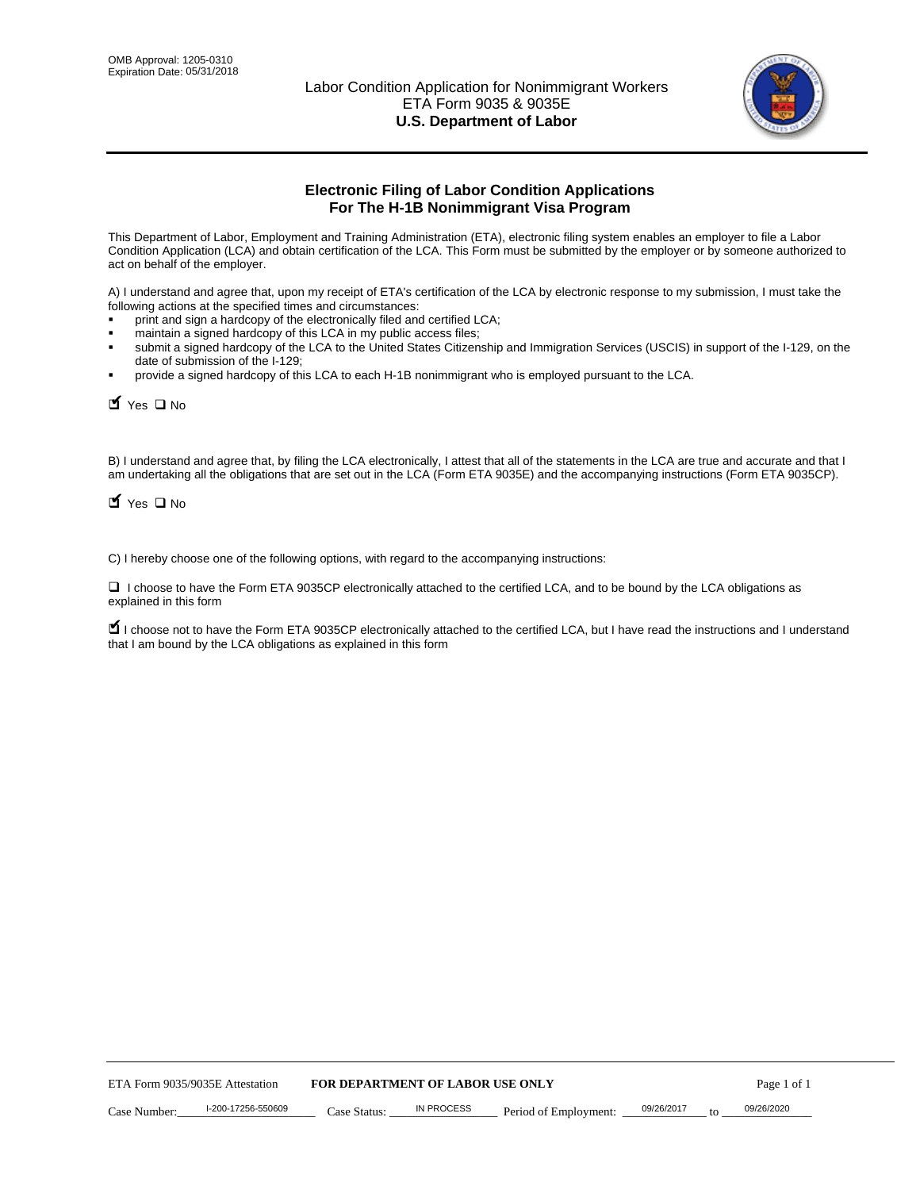

# **Electronic Filing of Labor Condition Applications For The H-1B Nonimmigrant Visa Program**

This Department of Labor, Employment and Training Administration (ETA), electronic filing system enables an employer to file a Labor Condition Application (LCA) and obtain certification of the LCA. This Form must be submitted by the employer or by someone authorized to act on behalf of the employer.

A) I understand and agree that, upon my receipt of ETA's certification of the LCA by electronic response to my submission, I must take the following actions at the specified times and circumstances:

- print and sign a hardcopy of the electronically filed and certified LCA;
- maintain a signed hardcopy of this LCA in my public access files;
- submit a signed hardcopy of the LCA to the United States Citizenship and Immigration Services (USCIS) in support of the I-129, on the date of submission of the I-129;
- provide a signed hardcopy of this LCA to each H-1B nonimmigrant who is employed pursuant to the LCA.

| Yes O No                                                                                                                                                                                                                                                                                                               |                                  |                   |                       |                  |             |
|------------------------------------------------------------------------------------------------------------------------------------------------------------------------------------------------------------------------------------------------------------------------------------------------------------------------|----------------------------------|-------------------|-----------------------|------------------|-------------|
| B) I understand and agree that, by filing the LCA electronically, I attest that all of the statements in the LCA are true and accurate and th<br>am undertaking all the obligations that are set out in the LCA (Form ETA 9035E) and the accompanying instructions (Form ETA 9035CF<br>$\blacksquare$ Yes $\square$ No |                                  |                   |                       |                  |             |
| C) I hereby choose one of the following options, with regard to the accompanying instructions:                                                                                                                                                                                                                         |                                  |                   |                       |                  |             |
| □ I choose to have the Form ETA 9035CP electronically attached to the certified LCA, and to be bound by the LCA obligations as<br>explained in this form                                                                                                                                                               |                                  |                   |                       |                  |             |
| I choose not to have the Form ETA 9035CP electronically attached to the certified LCA, but I have read the instructions and I unders<br>that I am bound by the LCA obligations as explained in this form                                                                                                               |                                  |                   |                       |                  |             |
|                                                                                                                                                                                                                                                                                                                        |                                  |                   |                       |                  |             |
|                                                                                                                                                                                                                                                                                                                        |                                  |                   |                       |                  |             |
|                                                                                                                                                                                                                                                                                                                        |                                  |                   |                       |                  |             |
|                                                                                                                                                                                                                                                                                                                        |                                  |                   |                       |                  |             |
|                                                                                                                                                                                                                                                                                                                        |                                  |                   |                       |                  |             |
|                                                                                                                                                                                                                                                                                                                        |                                  |                   |                       |                  |             |
|                                                                                                                                                                                                                                                                                                                        |                                  |                   |                       |                  |             |
|                                                                                                                                                                                                                                                                                                                        |                                  |                   |                       |                  |             |
|                                                                                                                                                                                                                                                                                                                        |                                  |                   |                       |                  |             |
|                                                                                                                                                                                                                                                                                                                        |                                  |                   |                       |                  |             |
| ETA Form 9035/9035E Attestation                                                                                                                                                                                                                                                                                        | FOR DEPARTMENT OF LABOR USE ONLY |                   |                       |                  | Page 1 of 1 |
| I-200-17256-550609<br>Case Number:                                                                                                                                                                                                                                                                                     | Case Status:                     | <b>IN PROCESS</b> | Period of Employment: | 09/26/2017<br>to | 09/26/2020  |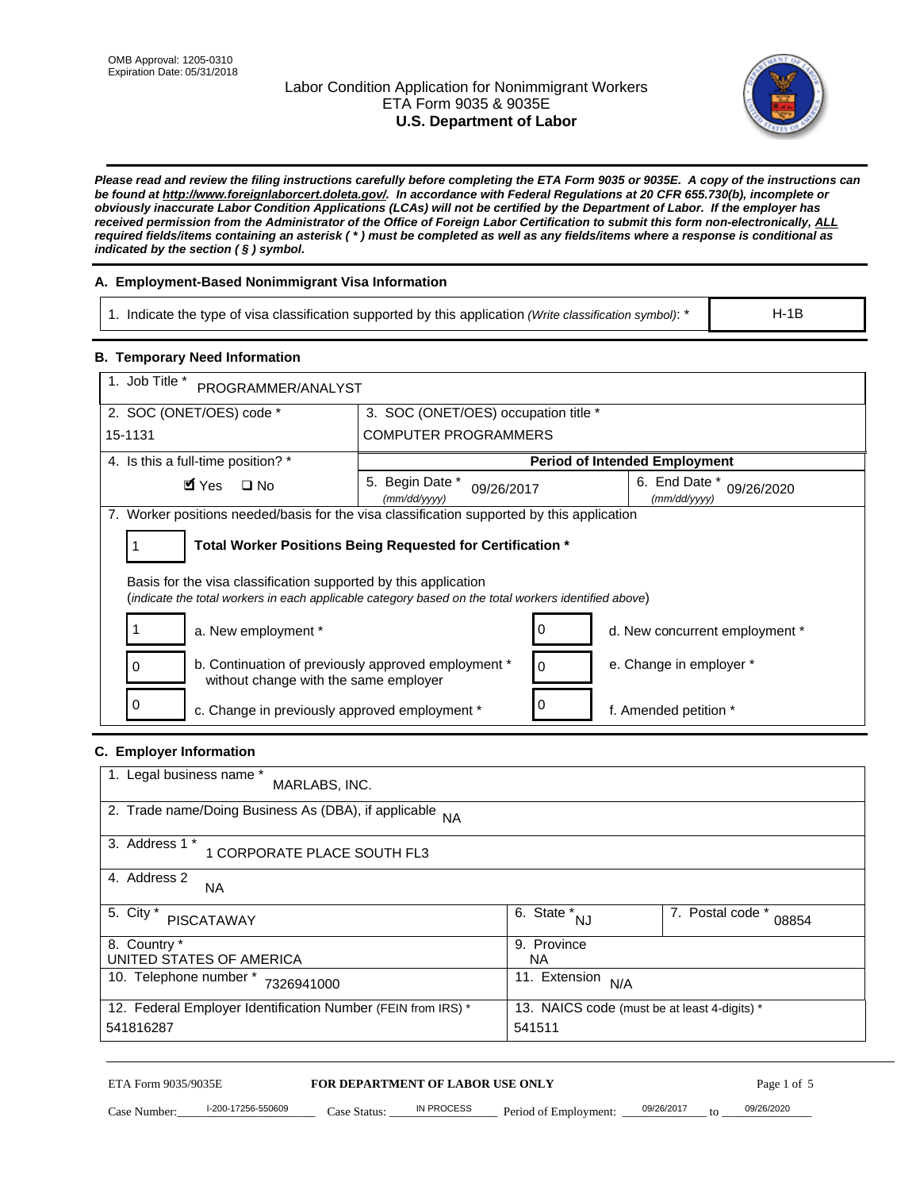# Labor Condition Application for Nonimmigrant Workers ETA Form 9035 & 9035E **U.S. Department of Labor**



*Please read and review the filing instructions carefully before completing the ETA Form 9035 or 9035E. A copy of the instructions can be found at http://www.foreignlaborcert.doleta.gov/. In accordance with Federal Regulations at 20 CFR 655.730(b), incomplete or obviously inaccurate Labor Condition Applications (LCAs) will not be certified by the Department of Labor. If the employer has received permission from the Administrator of the Office of Foreign Labor Certification to submit this form non-electronically, ALL required fields/items containing an asterisk ( \* ) must be completed as well as any fields/items where a response is conditional as indicated by the section ( § ) symbol.* 

# **A. Employment-Based Nonimmigrant Visa Information**

1. Indicate the type of visa classification supported by this application *(Write classification symbol)*: \*

### **B. Temporary Need Information**

| 1. Indicate the type of visa classification supported by this application (Write classification symbol): *                                                              |                                                |                                                 |                                      | $H-1B$                    |
|-------------------------------------------------------------------------------------------------------------------------------------------------------------------------|------------------------------------------------|-------------------------------------------------|--------------------------------------|---------------------------|
| <b>B. Temporary Need Information</b>                                                                                                                                    |                                                |                                                 |                                      |                           |
| 1. Job Title *<br>PROGRAMMER/ANALYST                                                                                                                                    |                                                |                                                 |                                      |                           |
| 2. SOC (ONET/OES) code *<br>3. SOC (ONET/OES) occupation title *                                                                                                        |                                                |                                                 |                                      |                           |
| 15-1131                                                                                                                                                                 | <b>COMPUTER PROGRAMMERS</b>                    |                                                 |                                      |                           |
| 4. Is this a full-time position? *                                                                                                                                      |                                                |                                                 | <b>Period of Intended Employment</b> |                           |
| $\blacksquare$ Yes<br>$\square$ No                                                                                                                                      | 5. Begin Date *<br>09/26/2017<br>(mm/dd/yyyy)  |                                                 | 6. End Date *<br>(mm/dd/yyyy)        | 09/26/2020                |
| 7. Worker positions needed/basis for the visa classification supported by this application                                                                              |                                                |                                                 |                                      |                           |
| Total Worker Positions Being Requested for Certification *<br>1                                                                                                         |                                                |                                                 |                                      |                           |
| Basis for the visa classification supported by this application<br>(indicate the total workers in each applicable category based on the total workers identified above) |                                                |                                                 |                                      |                           |
| 1<br>a. New employment *                                                                                                                                                |                                                | 0                                               | d. New concurrent employment *       |                           |
| b. Continuation of previously approved employment *<br>0<br>without change with the same employer                                                                       |                                                | 0                                               | e. Change in employer *              |                           |
| 0<br>c. Change in previously approved employment *                                                                                                                      |                                                | 0                                               | f. Amended petition *                |                           |
| C. Employer Information                                                                                                                                                 |                                                |                                                 |                                      |                           |
| 1. Legal business name *<br>MARLABS, INC.                                                                                                                               |                                                |                                                 |                                      |                           |
| 2. Trade name/Doing Business As (DBA), if applicable NA                                                                                                                 |                                                |                                                 |                                      |                           |
| 3. Address 1 *<br>1 CORPORATE PLACE SOUTH FL3                                                                                                                           |                                                |                                                 |                                      |                           |
| 4. Address 2<br>NA.                                                                                                                                                     |                                                |                                                 |                                      |                           |
| 5. City *<br><b>PISCATAWAY</b>                                                                                                                                          |                                                | $\overline{6. \quad \text{State}}^*_{\quad NJ}$ |                                      | 7. Postal code *<br>08854 |
| 8. Country *<br>UNITED STATES OF AMERICA                                                                                                                                |                                                | 9. Province<br><b>NA</b>                        |                                      |                           |
| 10. Telephone number * 7326941000                                                                                                                                       |                                                | 11. Extension $N/A$                             |                                      |                           |
| 12. Federal Employer Identification Number (FEIN from IRS) *<br>13. NAICS code (must be at least 4-digits) *<br>541816287<br>541511                                     |                                                |                                                 |                                      |                           |
| ETA Form 9035/9035E                                                                                                                                                     | FOR DEPARTMENT OF LABOR USE ONLY<br>IN PROCESS |                                                 | 09/26/2017                           | Page 1 of 5<br>09/26/2020 |

# **C. Employer Information**

| 1. Legal business name *<br>MARLABS, INC.                    |                                              |                           |
|--------------------------------------------------------------|----------------------------------------------|---------------------------|
| 2. Trade name/Doing Business As (DBA), if applicable NA      |                                              |                           |
| 3. Address 1 *<br>1 CORPORATE PLACE SOUTH FL3                |                                              |                           |
| 4. Address 2<br><b>NA</b>                                    |                                              |                           |
| 5. City *<br><b>PISCATAWAY</b>                               | 6. State *<br><b>NJ</b>                      | 7. Postal code *<br>08854 |
| 8. Country *                                                 | 9. Province                                  |                           |
| UNITED STATES OF AMERICA                                     | NA                                           |                           |
| 10. Telephone number *<br>7326941000                         | 11. Extension<br>N/A                         |                           |
| 12. Federal Employer Identification Number (FEIN from IRS) * | 13. NAICS code (must be at least 4-digits) * |                           |
| 541816287                                                    | 541511                                       |                           |

ETA Form 9035/9035E **FOR DEPARTMENT OF LABOR USE ONLY** Page 1 of 5<br>Case Number: 1-200-17256-550609 Case Status: IN PROCESS Period of Employment: 09/26/2017 to 09/26/2020 Case Number: 1-200-17256-550609 Case Status: IN PROCESS Period of Employment: 09/26/2017 to 09/26/2020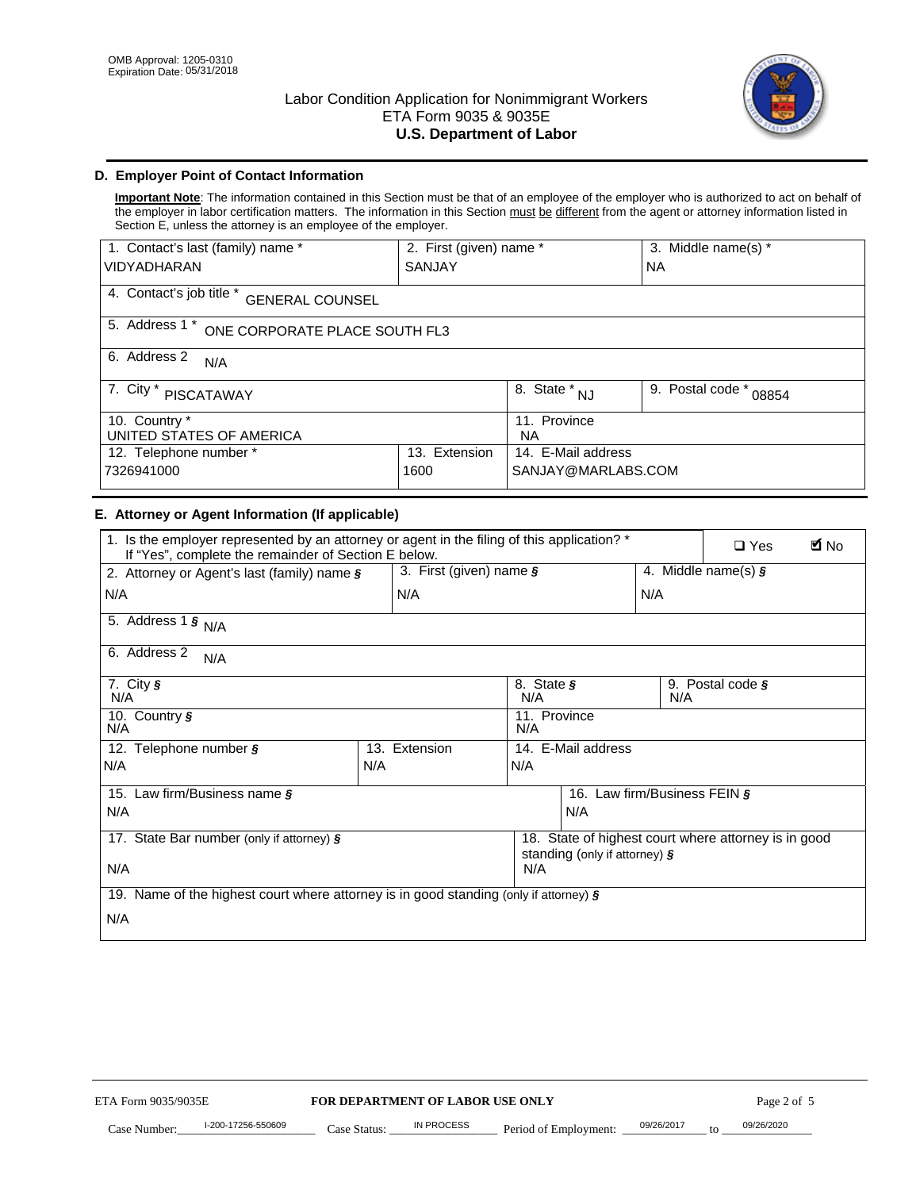

# **D. Employer Point of Contact Information**

**Important Note**: The information contained in this Section must be that of an employee of the employer who is authorized to act on behalf of the employer in labor certification matters. The information in this Section must be different from the agent or attorney information listed in Section E, unless the attorney is an employee of the employer.

| 1. Contact's last (family) name *                  | 2. First (given) name * |                                       | 3. Middle name(s) *       |  |
|----------------------------------------------------|-------------------------|---------------------------------------|---------------------------|--|
| <b>VIDYADHARAN</b>                                 | <b>SANJAY</b>           |                                       | <b>NA</b>                 |  |
| 4. Contact's job title *<br><b>GENERAL COUNSEL</b> |                         |                                       |                           |  |
| 5. Address 1 *<br>ONE CORPORATE PLACE SOUTH FL3    |                         |                                       |                           |  |
| 6. Address 2<br>N/A                                |                         |                                       |                           |  |
| 7. City $*$<br><b>PISCATAWAY</b>                   |                         | $\overline{8}$ . State *<br><b>NJ</b> | 9. Postal code *<br>08854 |  |
| 10. Country *<br>UNITED STATES OF AMERICA          |                         | 11. Province<br><b>NA</b>             |                           |  |
| Extension<br>12. Telephone number *<br>13.         |                         | 14. E-Mail address                    |                           |  |
| 7326941000<br>1600                                 |                         | SANJAY@MARLABS.COM                    |                           |  |

# **E. Attorney or Agent Information (If applicable)**

| VIDYADHARAN                                                                                                                                         | SANJAY                           |                                           |                                          | <b>NA</b>                    |                                                      |             |  |
|-----------------------------------------------------------------------------------------------------------------------------------------------------|----------------------------------|-------------------------------------------|------------------------------------------|------------------------------|------------------------------------------------------|-------------|--|
| 4. Contact's job title * GENERAL COUNSEL                                                                                                            |                                  |                                           |                                          |                              |                                                      |             |  |
| 5. Address 1 * ONE CORPORATE PLACE SOUTH FL3                                                                                                        |                                  |                                           |                                          |                              |                                                      |             |  |
| 6. Address 2<br>N/A                                                                                                                                 |                                  |                                           |                                          |                              |                                                      |             |  |
| 7. City * PISCATAWAY                                                                                                                                |                                  | $\overline{\phantom{a}}$ 8. State $^*$ NJ |                                          | 9. Postal code *<br>08854    |                                                      |             |  |
| 10. Country *<br>UNITED STATES OF AMERICA                                                                                                           |                                  | 11. Province<br><b>NA</b>                 |                                          |                              |                                                      |             |  |
| 12. Telephone number *<br>7326941000                                                                                                                | 13. Extension<br>1600            |                                           | 14. E-Mail address<br>SANJAY@MARLABS.COM |                              |                                                      |             |  |
| E. Attorney or Agent Information (If applicable)                                                                                                    |                                  |                                           |                                          |                              |                                                      |             |  |
| 1. Is the employer represented by an attorney or agent in the filing of this application? *<br>If "Yes", complete the remainder of Section E below. |                                  |                                           |                                          |                              | $\Box$ Yes                                           | <b>M</b> No |  |
| 2. Attorney or Agent's last (family) name §                                                                                                         | 3. First (given) name §          |                                           |                                          |                              | 4. Middle name(s) $\sqrt{s}$                         |             |  |
| N/A                                                                                                                                                 | N/A                              |                                           |                                          | N/A                          |                                                      |             |  |
| 5. Address 1 $\frac{1}{9}$ N/A                                                                                                                      |                                  |                                           |                                          |                              |                                                      |             |  |
| 6. Address 2<br>N/A                                                                                                                                 |                                  |                                           |                                          |                              |                                                      |             |  |
| 7. City §<br>N/A                                                                                                                                    |                                  | 8. State §<br>N/A                         |                                          | N/A                          | 9. Postal code §                                     |             |  |
| 10. Country §<br>N/A                                                                                                                                |                                  | 11. Province<br>N/A                       |                                          |                              |                                                      |             |  |
| 12. Telephone number §                                                                                                                              | 13. Extension                    | 14. E-Mail address                        |                                          |                              |                                                      |             |  |
| N/A                                                                                                                                                 | N/A                              | N/A                                       |                                          |                              |                                                      |             |  |
| 15. Law firm/Business name §                                                                                                                        |                                  |                                           |                                          | 16. Law firm/Business FEIN § |                                                      |             |  |
| N/A                                                                                                                                                 |                                  |                                           | N/A                                      |                              |                                                      |             |  |
| 17. State Bar number (only if attorney) §                                                                                                           |                                  |                                           | standing (only if attorney) §            |                              | 18. State of highest court where attorney is in good |             |  |
| N/A                                                                                                                                                 |                                  | N/A                                       |                                          |                              |                                                      |             |  |
| 19. Name of the highest court where attorney is in good standing (only if attorney) §                                                               |                                  |                                           |                                          |                              |                                                      |             |  |
| N/A                                                                                                                                                 |                                  |                                           |                                          |                              |                                                      |             |  |
|                                                                                                                                                     |                                  |                                           |                                          |                              |                                                      |             |  |
|                                                                                                                                                     |                                  |                                           |                                          |                              |                                                      |             |  |
|                                                                                                                                                     |                                  |                                           |                                          |                              |                                                      |             |  |
|                                                                                                                                                     |                                  |                                           |                                          |                              |                                                      |             |  |
|                                                                                                                                                     |                                  |                                           |                                          |                              |                                                      |             |  |
|                                                                                                                                                     |                                  |                                           |                                          |                              |                                                      |             |  |
|                                                                                                                                                     |                                  |                                           |                                          |                              |                                                      |             |  |
| ETA Form 9035/9035E                                                                                                                                 | FOR DEPARTMENT OF LABOR USE ONLY |                                           |                                          |                              | Page 2 of 5                                          |             |  |
| I-200-17256-550609                                                                                                                                  | IN PROCESS                       |                                           |                                          | 09/26/2017                   | 09/26/2020                                           |             |  |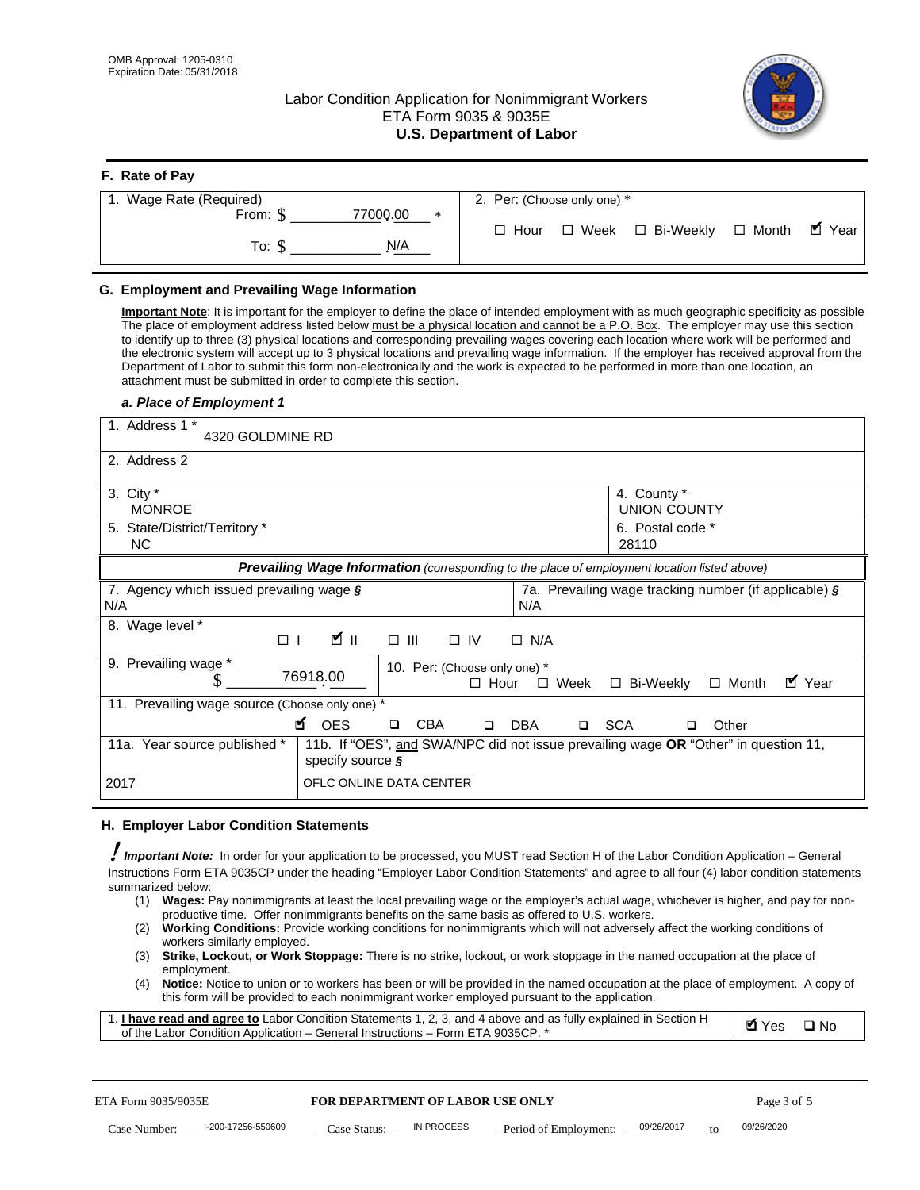**F. Rate of Pay** 

# Labor Condition Application for Nonimmigrant Workers ETA Form 9035 & 9035E **U.S. Department of Labor**



| <b>F.</b> Rate of Pay       |                                                  |
|-----------------------------|--------------------------------------------------|
| 1. Wage Rate (Required)     | 2. Per: (Choose only one) *                      |
| 77000.00<br>From: \$<br>$*$ | □ Week □ Bi-Weekly □ Month ■ Year<br>$\Box$ Hour |
| N/A<br>To: \$               |                                                  |

## **G. Employment and Prevailing Wage Information**

#### *a. Place of Employment 1*

|                                               | From: \$                                       | 77000.00<br>$\ast$<br>To: $\S$<br>N/A                                                                                                                                                                                                                                                                                                                                                                                                                                                                                                                                                                                                                                                                                                                                                                                                                                                                                                                                                                                                                                                                                                                                                                                                | $\Box$ Hour                                 |                       | $\Box$ Week $\Box$ Bi-Weekly                                    | $\Box$ Month | $\blacksquare$ Year |
|-----------------------------------------------|------------------------------------------------|--------------------------------------------------------------------------------------------------------------------------------------------------------------------------------------------------------------------------------------------------------------------------------------------------------------------------------------------------------------------------------------------------------------------------------------------------------------------------------------------------------------------------------------------------------------------------------------------------------------------------------------------------------------------------------------------------------------------------------------------------------------------------------------------------------------------------------------------------------------------------------------------------------------------------------------------------------------------------------------------------------------------------------------------------------------------------------------------------------------------------------------------------------------------------------------------------------------------------------------|---------------------------------------------|-----------------------|-----------------------------------------------------------------|--------------|---------------------|
|                                               | G. Employment and Prevailing Wage Information  | Important Note: It is important for the employer to define the place of intended employment with as much geographic specificity as possible<br>The place of employment address listed below must be a physical location and cannot be a P.O. Box. The employer may use this section<br>to identify up to three (3) physical locations and corresponding prevailing wages covering each location where work will be performed and<br>the electronic system will accept up to 3 physical locations and prevailing wage information. If the employer has received approval from the<br>Department of Labor to submit this form non-electronically and the work is expected to be performed in more than one location, an<br>attachment must be submitted in order to complete this section.                                                                                                                                                                                                                                                                                                                                                                                                                                             |                                             |                       |                                                                 |              |                     |
| 1. Address 1 *                                | a. Place of Employment 1<br>4320 GOLDMINE RD   |                                                                                                                                                                                                                                                                                                                                                                                                                                                                                                                                                                                                                                                                                                                                                                                                                                                                                                                                                                                                                                                                                                                                                                                                                                      |                                             |                       |                                                                 |              |                     |
| 2. Address 2                                  |                                                |                                                                                                                                                                                                                                                                                                                                                                                                                                                                                                                                                                                                                                                                                                                                                                                                                                                                                                                                                                                                                                                                                                                                                                                                                                      |                                             |                       |                                                                 |              |                     |
| 3. City $*$<br><b>NC</b>                      | <b>MONROE</b><br>5. State/District/Territory * |                                                                                                                                                                                                                                                                                                                                                                                                                                                                                                                                                                                                                                                                                                                                                                                                                                                                                                                                                                                                                                                                                                                                                                                                                                      |                                             |                       | 4. County *<br><b>UNION COUNTY</b><br>6. Postal code *<br>28110 |              |                     |
|                                               |                                                | Prevailing Wage Information (corresponding to the place of employment location listed above)                                                                                                                                                                                                                                                                                                                                                                                                                                                                                                                                                                                                                                                                                                                                                                                                                                                                                                                                                                                                                                                                                                                                         |                                             |                       |                                                                 |              |                     |
| N/A                                           | 7. Agency which issued prevailing wage §       |                                                                                                                                                                                                                                                                                                                                                                                                                                                                                                                                                                                                                                                                                                                                                                                                                                                                                                                                                                                                                                                                                                                                                                                                                                      | N/A                                         |                       | 7a. Prevailing wage tracking number (if applicable) §           |              |                     |
| 8. Wage level *                               | $\Box$                                         | $\mathbf{K}$ II<br>$\Box$<br>III                                                                                                                                                                                                                                                                                                                                                                                                                                                                                                                                                                                                                                                                                                                                                                                                                                                                                                                                                                                                                                                                                                                                                                                                     | $\Box$ IV<br>$\Box$ N/A                     |                       |                                                                 |              |                     |
|                                               | 9. Prevailing wage *<br>S                      | 76918.00                                                                                                                                                                                                                                                                                                                                                                                                                                                                                                                                                                                                                                                                                                                                                                                                                                                                                                                                                                                                                                                                                                                                                                                                                             | 10. Per: (Choose only one) *<br>$\Box$ Hour | $\Box$ Week           | □ Bi-Weekly                                                     | $\Box$ Month | ■ Year              |
|                                               | 11. Prevailing wage source (Choose only one) * | <b>¤</b> OES<br><b>CBA</b><br>$\Box$                                                                                                                                                                                                                                                                                                                                                                                                                                                                                                                                                                                                                                                                                                                                                                                                                                                                                                                                                                                                                                                                                                                                                                                                 | DBA<br>$\Box$                               | □ SCA                 | □                                                               | Other        |                     |
|                                               | 11a. Year source published *                   | 11b. If "OES", and SWA/NPC did not issue prevailing wage OR "Other" in question 11,<br>specify source $\boldsymbol{\S}$                                                                                                                                                                                                                                                                                                                                                                                                                                                                                                                                                                                                                                                                                                                                                                                                                                                                                                                                                                                                                                                                                                              |                                             |                       |                                                                 |              |                     |
| 2017                                          |                                                | OFLC ONLINE DATA CENTER                                                                                                                                                                                                                                                                                                                                                                                                                                                                                                                                                                                                                                                                                                                                                                                                                                                                                                                                                                                                                                                                                                                                                                                                              |                                             |                       |                                                                 |              |                     |
|                                               | H. Employer Labor Condition Statements         |                                                                                                                                                                                                                                                                                                                                                                                                                                                                                                                                                                                                                                                                                                                                                                                                                                                                                                                                                                                                                                                                                                                                                                                                                                      |                                             |                       |                                                                 |              |                     |
| summarized below:<br>(1)<br>(2)<br>(3)<br>(4) | workers similarly employed.<br>employment.     | Important Note: In order for your application to be processed, you MUST read Section H of the Labor Condition Application - General<br>Instructions Form ETA 9035CP under the heading "Employer Labor Condition Statements" and agree to all four (4) labor condition statements<br>Wages: Pay nonimmigrants at least the local prevailing wage or the employer's actual wage, whichever is higher, and pay for non-<br>productive time. Offer nonimmigrants benefits on the same basis as offered to U.S. workers.<br><b>Working Conditions:</b> Provide working conditions for nonimmigrants which will not adversely affect the working conditions of<br>Strike, Lockout, or Work Stoppage: There is no strike, lockout, or work stoppage in the named occupation at the place of<br>Notice: Notice to union or to workers has been or will be provided in the named occupation at the place of employment. A copy of<br>this form will be provided to each nonimmigrant worker employed pursuant to the application.<br>1. <i>I have read and agree to</i> Labor Condition Statements 1, 2, 3, and 4 above and as fully explained in Section H<br>of the Labor Condition Application - General Instructions - Form ETA 9035CP. * |                                             |                       |                                                                 | <b>Ø</b> Yes | $\square$ No        |
| ETA Form 9035/9035E                           |                                                | <b>FOR DEPARTMENT OF LABOR USE ONLY</b>                                                                                                                                                                                                                                                                                                                                                                                                                                                                                                                                                                                                                                                                                                                                                                                                                                                                                                                                                                                                                                                                                                                                                                                              |                                             |                       |                                                                 | Page 3 of 5  |                     |
| Case Number:                                  | I-200-17256-550609                             | IN PROCESS<br>Case Status: .                                                                                                                                                                                                                                                                                                                                                                                                                                                                                                                                                                                                                                                                                                                                                                                                                                                                                                                                                                                                                                                                                                                                                                                                         |                                             | Period of Employment: | 09/26/2017                                                      | 09/26/2020   |                     |

#### **H. Employer Labor Condition Statements**

- (1) **Wages:** Pay nonimmigrants at least the local prevailing wage or the employer's actual wage, whichever is higher, and pay for nonproductive time. Offer nonimmigrants benefits on the same basis as offered to U.S. workers.
- (2) **Working Conditions:** Provide working conditions for nonimmigrants which will not adversely affect the working conditions of workers similarly employed.
- (3) **Strike, Lockout, or Work Stoppage:** There is no strike, lockout, or work stoppage in the named occupation at the place of employment.
- (4) **Notice:** Notice to union or to workers has been or will be provided in the named occupation at the place of employment. A copy of this form will be provided to each nonimmigrant worker employed pursuant to the application.

| 1. I have read and agree to Labor Condition Statements 1, 2, 3, and 4 above and as fully explained in Section H | Myes ⊡No |  |
|-----------------------------------------------------------------------------------------------------------------|----------|--|
| of the Labor Condition Application – General Instructions – Form ETA 9035CP. *                                  |          |  |

| ETA Form 9035/9035E |                    | <b>FOR DEPARTMENT OF LABOR USE ONLY</b> |            |                                      | Page 3 of 5 |  |            |
|---------------------|--------------------|-----------------------------------------|------------|--------------------------------------|-------------|--|------------|
| Case Number:        | l-200-17256-550609 | Case Status:                            | IN PROCESS | Period of Employment: ____09/26/2017 |             |  | 09/26/2020 |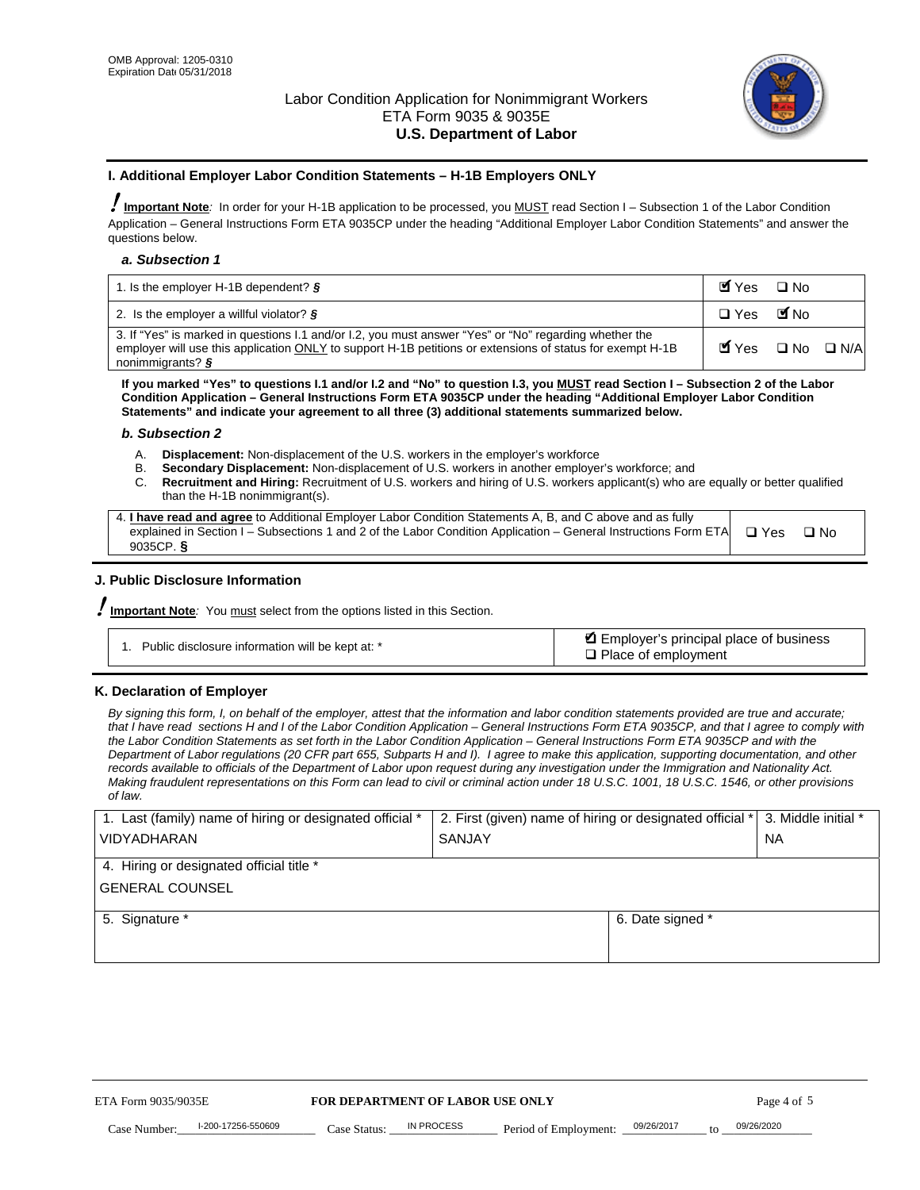

#### **I. Additional Employer Labor Condition Statements – H-1B Employers ONLY**

!**Important Note***:* In order for your H-1B application to be processed, you MUST read Section I – Subsection 1 of the Labor Condition Application – General Instructions Form ETA 9035CP under the heading "Additional Employer Labor Condition Statements" and answer the questions below.

#### *a. Subsection 1*

| 1. Is the employer H-1B dependent? $\S$                                                                                                                                                                                                 | Myes                                          | $\Box$ No              |  |
|-----------------------------------------------------------------------------------------------------------------------------------------------------------------------------------------------------------------------------------------|-----------------------------------------------|------------------------|--|
| 2. Is the employer a willful violator? $\frac{1}{2}$                                                                                                                                                                                    | $\Box$ Yes                                    | <b>M</b> <sub>No</sub> |  |
| 3. If "Yes" is marked in questions 1.1 and/or 1.2, you must answer "Yes" or "No" regarding whether the<br>employer will use this application ONLY to support H-1B petitions or extensions of status for exempt H-1B<br>nonimmigrants? § | $\blacksquare$ Yes $\square$ No $\square$ N/A |                        |  |

**If you marked "Yes" to questions I.1 and/or I.2 and "No" to question I.3, you MUST read Section I – Subsection 2 of the Labor Condition Application – General Instructions Form ETA 9035CP under the heading "Additional Employer Labor Condition Statements" and indicate your agreement to all three (3) additional statements summarized below.** 

#### *b. Subsection 2*

- A. **Displacement:** Non-displacement of the U.S. workers in the employer's workforce
- B. **Secondary Displacement:** Non-displacement of U.S. workers in another employer's workforce; and
- C. **Recruitment and Hiring:** Recruitment of U.S. workers and hiring of U.S. workers applicant(s) who are equally or better qualified than the H-1B nonimmigrant(s).

| 4. I have read and agree to Additional Employer Labor Condition Statements A, B, and C above and as fully                  |      |
|----------------------------------------------------------------------------------------------------------------------------|------|
| explained in Section I – Subsections 1 and 2 of the Labor Condition Application – General Instructions Form ETA $\Box$ Yes | ∩ N∩ |
| 9035CP. $\delta$                                                                                                           |      |

# **J. Public Disclosure Information**

!**Important Note***:* You must select from the options listed in this Section.

| Public disclosure information will be kept at: * | Employer's principal place of business<br>$\Box$ Place of employment |
|--------------------------------------------------|----------------------------------------------------------------------|
|--------------------------------------------------|----------------------------------------------------------------------|

#### **K. Declaration of Employer**

*By signing this form, I, on behalf of the employer, attest that the information and labor condition statements provided are true and accurate;*  that I have read sections H and I of the Labor Condition Application – General Instructions Form ETA 9035CP, and that I agree to comply with *the Labor Condition Statements as set forth in the Labor Condition Application – General Instructions Form ETA 9035CP and with the Department of Labor regulations (20 CFR part 655, Subparts H and I). I agree to make this application, supporting documentation, and other records available to officials of the Department of Labor upon request during any investigation under the Immigration and Nationality Act. Making fraudulent representations on this Form can lead to civil or criminal action under 18 U.S.C. 1001, 18 U.S.C. 1546, or other provisions of law.* 

| 1. Last (family) name of hiring or designated official *               | 2. First (given) name of hiring or designated official * |                                 | 3. Middle initial * |
|------------------------------------------------------------------------|----------------------------------------------------------|---------------------------------|---------------------|
| <b>VIDYADHARAN</b>                                                     | <b>SANJAY</b>                                            |                                 | <b>NA</b>           |
| 4. Hiring or designated official title *                               |                                                          |                                 |                     |
| <b>GENERAL COUNSEL</b>                                                 |                                                          |                                 |                     |
| 5. Signature *                                                         |                                                          | 6. Date signed *                |                     |
|                                                                        |                                                          |                                 |                     |
|                                                                        |                                                          |                                 |                     |
|                                                                        |                                                          |                                 |                     |
|                                                                        |                                                          |                                 |                     |
| FOR DEPARTMENT OF LABOR USE ONLY<br>ETA Form 9035/9035E<br>Page 4 of 5 |                                                          |                                 |                     |
| I-200-17256-550609<br>Case Number<br>Case Status:                      | IN PROCESS<br>Period of Employment:                      | 09/26/2017<br>$\mathsf{t} \cap$ | 09/26/2020          |